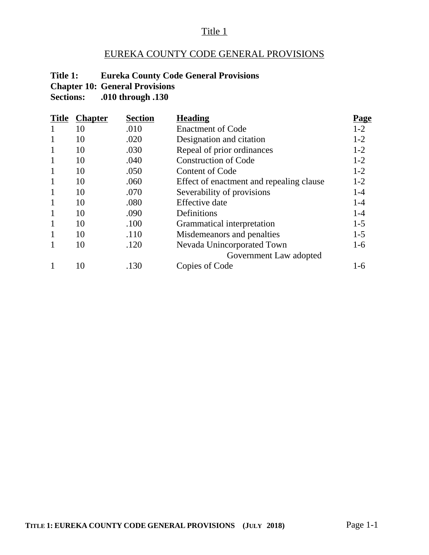## Title 1

# EUREKA COUNTY CODE GENERAL PROVISIONS

## **Title 1: Eureka County Code General Provisions**

**Chapter 10: General Provisions**<br>**Sections:** .010 through .130

**Sections: .010 through .130**

| <b>Title</b> | <b>Chapter</b> | <b>Section</b> | <b>Heading</b>                           | <u>Page</u> |
|--------------|----------------|----------------|------------------------------------------|-------------|
| 1            | 10             | .010           | <b>Enactment of Code</b>                 | $1-2$       |
| 1            | 10             | .020           | Designation and citation                 | $1-2$       |
| $\mathbf{1}$ | 10             | .030           | Repeal of prior ordinances               | $1 - 2$     |
| $\mathbf{1}$ | 10             | .040           | <b>Construction of Code</b>              | $1-2$       |
| $\mathbf{1}$ | 10             | .050           | <b>Content of Code</b>                   | $1-2$       |
| $\mathbf{1}$ | 10             | .060           | Effect of enactment and repealing clause | $1-2$       |
| $\mathbf{1}$ | 10             | .070           | Severability of provisions               | $1 - 4$     |
| $\mathbf{1}$ | 10             | .080           | <b>Effective</b> date                    | $1 - 4$     |
| $\mathbf{1}$ | 10             | .090           | Definitions                              | $1 - 4$     |
| $\mathbf{1}$ | 10             | .100           | Grammatical interpretation               | $1-5$       |
| $\mathbf{1}$ | 10             | .110           | Misdemeanors and penalties               | $1 - 5$     |
| 1            | 10             | .120           | Nevada Unincorporated Town               | $1-6$       |
|              |                |                | Government Law adopted                   |             |
|              | 10             | .130           | Copies of Code                           | 1-6         |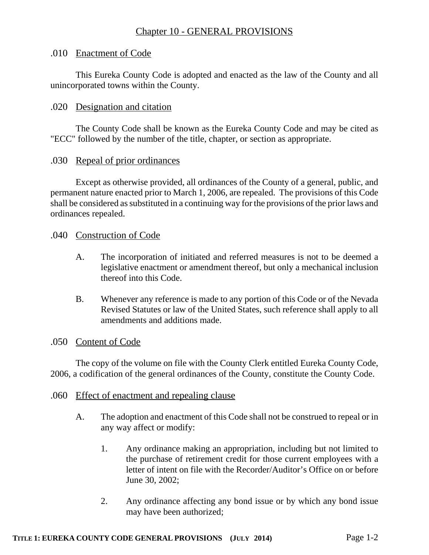# Chapter 10 - GENERAL PROVISIONS

## .010 Enactment of Code

This Eureka County Code is adopted and enacted as the law of the County and all unincorporated towns within the County.

### .020 Designation and citation

The County Code shall be known as the Eureka County Code and may be cited as "ECC" followed by the number of the title, chapter, or section as appropriate.

### .030 Repeal of prior ordinances

Except as otherwise provided, all ordinances of the County of a general, public, and permanent nature enacted prior to March 1, 2006, are repealed. The provisions of this Code shall be considered as substituted in a continuing way for the provisions of the prior laws and ordinances repealed.

#### .040 Construction of Code

- A. The incorporation of initiated and referred measures is not to be deemed a legislative enactment or amendment thereof, but only a mechanical inclusion thereof into this Code.
- B. Whenever any reference is made to any portion of this Code or of the Nevada Revised Statutes or law of the United States, such reference shall apply to all amendments and additions made.

#### .050 Content of Code

The copy of the volume on file with the County Clerk entitled Eureka County Code, 2006, a codification of the general ordinances of the County, constitute the County Code.

#### .060 Effect of enactment and repealing clause

- A. The adoption and enactment of this Code shall not be construed to repeal or in any way affect or modify:
	- 1. Any ordinance making an appropriation, including but not limited to the purchase of retirement credit for those current employees with a letter of intent on file with the Recorder/Auditor's Office on or before June 30, 2002;
	- 2. Any ordinance affecting any bond issue or by which any bond issue may have been authorized;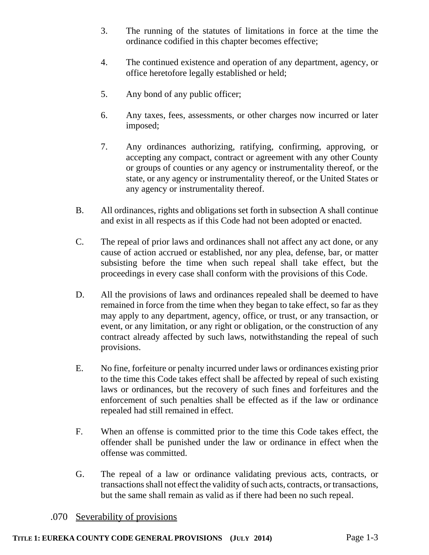- 3. The running of the statutes of limitations in force at the time the ordinance codified in this chapter becomes effective;
- 4. The continued existence and operation of any department, agency, or office heretofore legally established or held;
- 5. Any bond of any public officer;
- 6. Any taxes, fees, assessments, or other charges now incurred or later imposed;
- 7. Any ordinances authorizing, ratifying, confirming, approving, or accepting any compact, contract or agreement with any other County or groups of counties or any agency or instrumentality thereof, or the state, or any agency or instrumentality thereof, or the United States or any agency or instrumentality thereof.
- B. All ordinances, rights and obligations set forth in subsection A shall continue and exist in all respects as if this Code had not been adopted or enacted.
- C. The repeal of prior laws and ordinances shall not affect any act done, or any cause of action accrued or established, nor any plea, defense, bar, or matter subsisting before the time when such repeal shall take effect, but the proceedings in every case shall conform with the provisions of this Code.
- D. All the provisions of laws and ordinances repealed shall be deemed to have remained in force from the time when they began to take effect, so far as they may apply to any department, agency, office, or trust, or any transaction, or event, or any limitation, or any right or obligation, or the construction of any contract already affected by such laws, notwithstanding the repeal of such provisions.
- E. No fine, forfeiture or penalty incurred under laws or ordinances existing prior to the time this Code takes effect shall be affected by repeal of such existing laws or ordinances, but the recovery of such fines and forfeitures and the enforcement of such penalties shall be effected as if the law or ordinance repealed had still remained in effect.
- F. When an offense is committed prior to the time this Code takes effect, the offender shall be punished under the law or ordinance in effect when the offense was committed.
- G. The repeal of a law or ordinance validating previous acts, contracts, or transactions shall not effect the validity of such acts, contracts, or transactions, but the same shall remain as valid as if there had been no such repeal.

## .070 Severability of provisions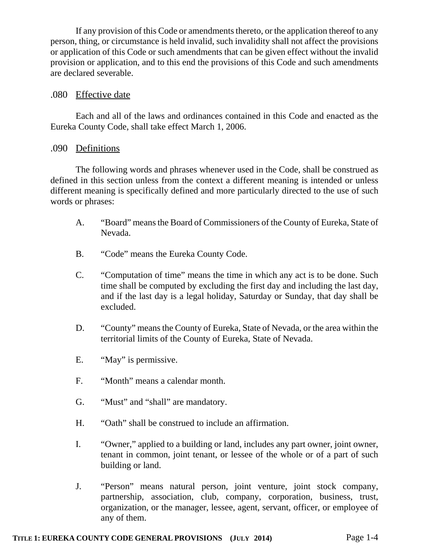If any provision of this Code or amendments thereto, or the application thereof to any person, thing, or circumstance is held invalid, such invalidity shall not affect the provisions or application of this Code or such amendments that can be given effect without the invalid provision or application, and to this end the provisions of this Code and such amendments are declared severable.

### .080 Effective date

Each and all of the laws and ordinances contained in this Code and enacted as the Eureka County Code, shall take effect March 1, 2006.

### .090 Definitions

The following words and phrases whenever used in the Code, shall be construed as defined in this section unless from the context a different meaning is intended or unless different meaning is specifically defined and more particularly directed to the use of such words or phrases:

- A. "Board" means the Board of Commissioners of the County of Eureka, State of Nevada.
- B. "Code" means the Eureka County Code.
- C. "Computation of time" means the time in which any act is to be done. Such time shall be computed by excluding the first day and including the last day, and if the last day is a legal holiday, Saturday or Sunday, that day shall be excluded.
- D. "County" means the County of Eureka, State of Nevada, or the area within the territorial limits of the County of Eureka, State of Nevada.
- E. "May" is permissive.
- F. "Month" means a calendar month.
- G. "Must" and "shall" are mandatory.
- H. "Oath" shall be construed to include an affirmation.
- I. "Owner," applied to a building or land, includes any part owner, joint owner, tenant in common, joint tenant, or lessee of the whole or of a part of such building or land.
- J. "Person" means natural person, joint venture, joint stock company, partnership, association, club, company, corporation, business, trust, organization, or the manager, lessee, agent, servant, officer, or employee of any of them.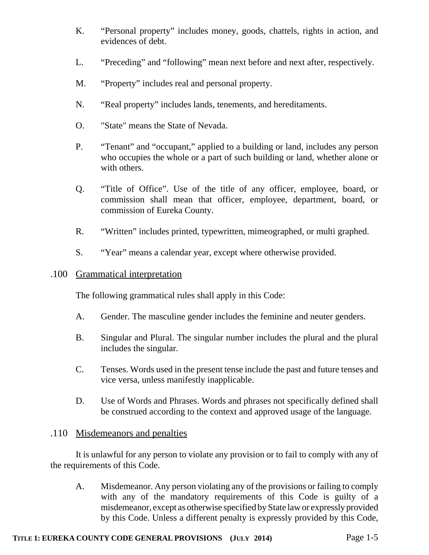- K. "Personal property" includes money, goods, chattels, rights in action, and evidences of debt.
- L. "Preceding" and "following" mean next before and next after, respectively.
- M. "Property" includes real and personal property.
- N. "Real property" includes lands, tenements, and hereditaments.
- O. "State" means the State of Nevada.
- P. "Tenant" and "occupant," applied to a building or land, includes any person who occupies the whole or a part of such building or land, whether alone or with others.
- Q. "Title of Office". Use of the title of any officer, employee, board, or commission shall mean that officer, employee, department, board, or commission of Eureka County.
- R. "Written" includes printed, typewritten, mimeographed, or multi graphed.
- S. "Year" means a calendar year, except where otherwise provided.

### .100 Grammatical interpretation

The following grammatical rules shall apply in this Code:

- A. Gender. The masculine gender includes the feminine and neuter genders.
- B. Singular and Plural. The singular number includes the plural and the plural includes the singular.
- C. Tenses. Words used in the present tense include the past and future tenses and vice versa, unless manifestly inapplicable.
- D. Use of Words and Phrases. Words and phrases not specifically defined shall be construed according to the context and approved usage of the language.

## .110 Misdemeanors and penalties

It is unlawful for any person to violate any provision or to fail to comply with any of the requirements of this Code.

A. Misdemeanor. Any person violating any of the provisions or failing to comply with any of the mandatory requirements of this Code is guilty of a misdemeanor, except as otherwise specified by State law or expressly provided by this Code. Unless a different penalty is expressly provided by this Code,